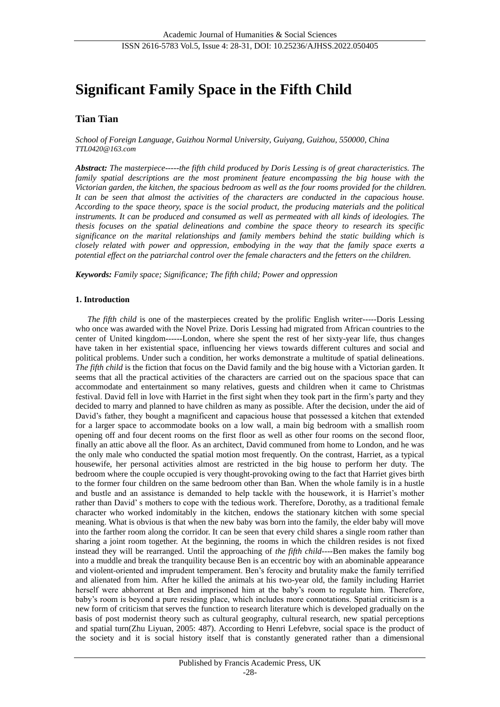# **Significant Family Space in the Fifth Child**

## **Tian Tian**

*School of Foreign Language, Guizhou Normal University, Guiyang, Guizhou, 550000, China [TTL0420@163.com](mailto:TTL0420@163.com)*

*Abstract: The masterpiece-----the fifth child produced by Doris Lessing is of great characteristics. The family spatial descriptions are the most prominent feature encompassing the big house with the Victorian garden, the kitchen, the spacious bedroom as well as the four rooms provided for the children. It can be seen that almost the activities of the characters are conducted in the capacious house. According to the space theory, space is the social product, the producing materials and the political instruments. It can be produced and consumed as well as permeated with all kinds of ideologies. The thesis focuses on the spatial delineations and combine the space theory to research its specific significance on the marital relationships and family members behind the static building which is closely related with power and oppression, embodying in the way that the family space exerts a potential effect on the patriarchal control over the female characters and the fetters on the children.* 

*Keywords: Family space; Significance; The fifth child; Power and oppression*

## **1. Introduction**

*The fifth child* is one of the masterpieces created by the prolific English writer-----Doris Lessing who once was awarded with the Novel Prize. Doris Lessing had migrated from African countries to the center of United kingdom------London, where she spent the rest of her sixty-year life, thus changes have taken in her existential space, influencing her views towards different cultures and social and political problems. Under such a condition, her works demonstrate a multitude of spatial delineations. *The fifth child* is the fiction that focus on the David family and the big house with a Victorian garden. It seems that all the practical activities of the characters are carried out on the spacious space that can accommodate and entertainment so many relatives, guests and children when it came to Christmas festival. David fell in love with Harriet in the first sight when they took part in the firm's party and they decided to marry and planned to have children as many as possible. After the decision, under the aid of David's father, they bought a magnificent and capacious house that possessed a kitchen that extended for a larger space to accommodate books on a low wall, a main big bedroom with a smallish room opening off and four decent rooms on the first floor as well as other four rooms on the second floor, finally an attic above all the floor. As an architect, David communed from home to London, and he was the only male who conducted the spatial motion most frequently. On the contrast, Harriet, as a typical housewife, her personal activities almost are restricted in the big house to perform her duty. The bedroom where the couple occupied is very thought-provoking owing to the fact that Harriet gives birth to the former four children on the same bedroom other than Ban. When the whole family is in a hustle and bustle and an assistance is demanded to help tackle with the housework, it is Harriet's mother rather than David' s mothers to cope with the tedious work. Therefore, Dorothy, as a traditional female character who worked indomitably in the kitchen, endows the stationary kitchen with some special meaning. What is obvious is that when the new baby was born into the family, the elder baby will move into the farther room along the corridor. It can be seen that every child shares a single room rather than sharing a joint room together. At the beginning, the rooms in which the children resides is not fixed instead they will be rearranged. Until the approaching of *the fifth child*----Ben makes the family bog into a muddle and break the tranquility because Ben is an eccentric boy with an abominable appearance and violent-oriented and imprudent temperament. Ben's ferocity and brutality make the family terrified and alienated from him. After he killed the animals at his two-year old, the family including Harriet herself were abhorrent at Ben and imprisoned him at the baby's room to regulate him. Therefore, baby's room is beyond a pure residing place, which includes more connotations. Spatial criticism is a new form of criticism that serves the function to research literature which is developed gradually on the basis of post modernist theory such as cultural geography, cultural research, new spatial perceptions and spatial turn(Zhu Liyuan, 2005: 487). According to Henri Lefebvre, social space is the product of the society and it is social history itself that is constantly generated rather than a dimensional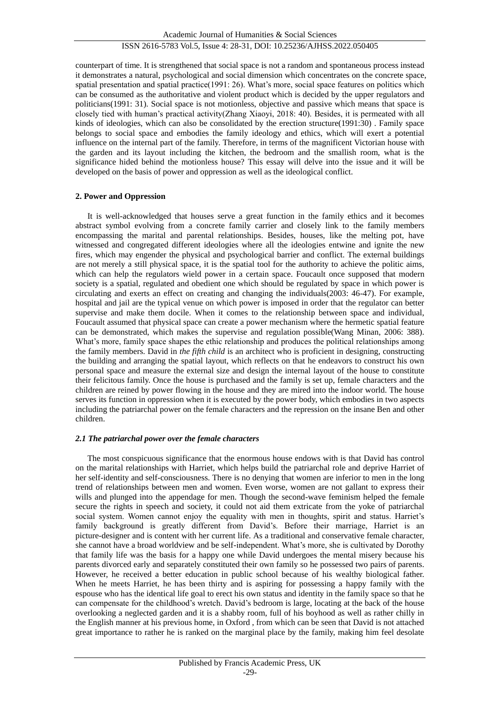counterpart of time. It is strengthened that social space is not a random and spontaneous process instead it demonstrates a natural, psychological and social dimension which concentrates on the concrete space, spatial presentation and spatial practice(1991: 26). What's more, social space features on politics which can be consumed as the authoritative and violent product which is decided by the upper regulators and politicians(1991: 31). Social space is not motionless, objective and passive which means that space is closely tied with human's practical activity(Zhang Xiaoyi, 2018: 40). Besides, it is permeated with all kinds of ideologies, which can also be consolidated by the erection structure(1991:30) . Family space belongs to social space and embodies the family ideology and ethics, which will exert a potential influence on the internal part of the family. Therefore, in terms of the magnificent Victorian house with the garden and its layout including the kitchen, the bedroom and the smallish room, what is the significance hided behind the motionless house? This essay will delve into the issue and it will be developed on the basis of power and oppression as well as the ideological conflict.

## **2. Power and Oppression**

It is well-acknowledged that houses serve a great function in the family ethics and it becomes abstract symbol evolving from a concrete family carrier and closely link to the family members encompassing the marital and parental relationships. Besides, houses, like the melting pot, have witnessed and congregated different ideologies where all the ideologies entwine and ignite the new fires, which may engender the physical and psychological barrier and conflict. The external buildings are not merely a still physical space, it is the spatial tool for the authority to achieve the politic aims, which can help the regulators wield power in a certain space. Foucault once supposed that modern society is a spatial, regulated and obedient one which should be regulated by space in which power is circulating and exerts an effect on creating and changing the individuals(2003: 46-47). For example, hospital and jail are the typical venue on which power is imposed in order that the regulator can better supervise and make them docile. When it comes to the relationship between space and individual, Foucault assumed that physical space can create a power mechanism where the hermetic spatial feature can be demonstrated, which makes the supervise and regulation possible(Wang Minan, 2006: 388). What's more, family space shapes the ethic relationship and produces the political relationships among the family members. David in *the fifth child* is an architect who is proficient in designing, constructing the building and arranging the spatial layout, which reflects on that he endeavors to construct his own personal space and measure the external size and design the internal layout of the house to constitute their felicitous family. Once the house is purchased and the family is set up, female characters and the children are reined by power flowing in the house and they are mired into the indoor world. The house serves its function in oppression when it is executed by the power body, which embodies in two aspects including the patriarchal power on the female characters and the repression on the insane Ben and other children.

#### *2.1 The patriarchal power over the female characters*

The most conspicuous significance that the enormous house endows with is that David has control on the marital relationships with Harriet, which helps build the patriarchal role and deprive Harriet of her self-identity and self-consciousness. There is no denying that women are inferior to men in the long trend of relationships between men and women. Even worse, women are not gallant to express their wills and plunged into the appendage for men. Though the second-wave feminism helped the female secure the rights in speech and society, it could not aid them extricate from the yoke of patriarchal social system. Women cannot enjoy the equality with men in thoughts, spirit and status. Harriet's family background is greatly different from David's. Before their marriage, Harriet is an picture-designer and is content with her current life. As a traditional and conservative female character, she cannot have a broad worldview and be self-independent. What's more, she is cultivated by Dorothy that family life was the basis for a happy one while David undergoes the mental misery because his parents divorced early and separately constituted their own family so he possessed two pairs of parents. However, he received a better education in public school because of his wealthy biological father. When he meets Harriet, he has been thirty and is aspiring for possessing a happy family with the espouse who has the identical life goal to erect his own status and identity in the family space so that he can compensate for the childhood's wretch. David's bedroom is large, locating at the back of the house overlooking a neglected garden and it is a shabby room, full of his boyhood as well as rather chilly in the English manner at his previous home, in Oxford , from which can be seen that David is not attached great importance to rather he is ranked on the marginal place by the family, making him feel desolate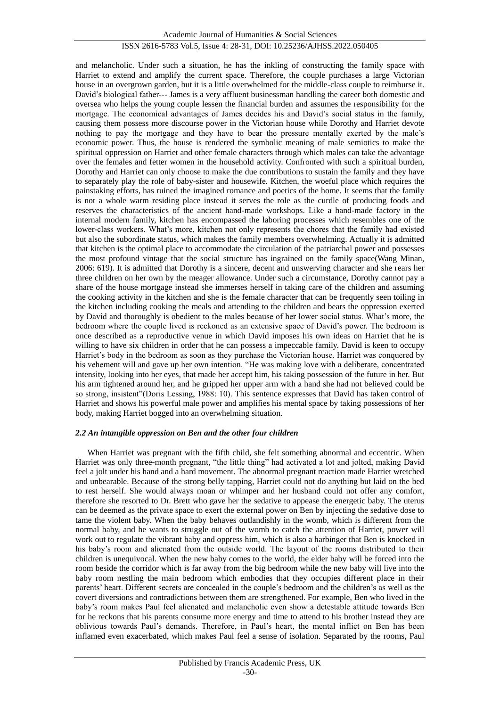Academic Journal of Humanities & Social Sciences

## ISSN 2616-5783 Vol.5, Issue 4: 28-31, DOI: 10.25236/AJHSS.2022.050405

and melancholic. Under such a situation, he has the inkling of constructing the family space with Harriet to extend and amplify the current space. Therefore, the couple purchases a large Victorian house in an overgrown garden, but it is a little overwhelmed for the middle-class couple to reimburse it. David's biological father--- James is a very affluent businessman handling the career both domestic and oversea who helps the young couple lessen the financial burden and assumes the responsibility for the mortgage. The economical advantages of James decides his and David's social status in the family, causing them possess more discourse power in the Victorian house while Dorothy and Harriet devote nothing to pay the mortgage and they have to bear the pressure mentally exerted by the male's economic power. Thus, the house is rendered the symbolic meaning of male semiotics to make the spiritual oppression on Harriet and other female characters through which males can take the advantage over the females and fetter women in the household activity. Confronted with such a spiritual burden, Dorothy and Harriet can only choose to make the due contributions to sustain the family and they have to separately play the role of baby-sister and housewife. Kitchen, the woeful place which requires the painstaking efforts, has ruined the imagined romance and poetics of the home. It seems that the family is not a whole warm residing place instead it serves the role as the curdle of producing foods and reserves the characteristics of the ancient hand-made workshops. Like a hand-made factory in the internal modern family, kitchen has encompassed the laboring processes which resembles one of the lower-class workers. What's more, kitchen not only represents the chores that the family had existed but also the subordinate status, which makes the family members overwhelming. Actually it is admitted that kitchen is the optimal place to accommodate the circulation of the patriarchal power and possesses the most profound vintage that the social structure has ingrained on the family space(Wang Minan, 2006: 619). It is admitted that Dorothy is a sincere, decent and unswerving character and she rears her three children on her own by the meager allowance. Under such a circumstance, Dorothy cannot pay a share of the house mortgage instead she immerses herself in taking care of the children and assuming the cooking activity in the kitchen and she is the female character that can be frequently seen toiling in the kitchen including cooking the meals and attending to the children and bears the oppression exerted by David and thoroughly is obedient to the males because of her lower social status. What's more, the bedroom where the couple lived is reckoned as an extensive space of David's power. The bedroom is once described as a reproductive venue in which David imposes his own ideas on Harriet that he is willing to have six children in order that he can possess a impeccable family. David is keen to occupy Harriet's body in the bedroom as soon as they purchase the Victorian house. Harriet was conquered by his vehement will and gave up her own intention. "He was making love with a deliberate, concentrated intensity, looking into her eyes, that made her accept him, his taking possession of the future in her. But his arm tightened around her, and he gripped her upper arm with a hand she had not believed could be so strong, insistent"(Doris Lessing, 1988: 10). This sentence expresses that David has taken control of Harriet and shows his powerful male power and amplifies his mental space by taking possessions of her body, making Harriet bogged into an overwhelming situation.

#### *2.2 An intangible oppression on Ben and the other four children*

When Harriet was pregnant with the fifth child, she felt something abnormal and eccentric. When Harriet was only three-month pregnant, "the little thing" had activated a lot and jolted, making David feel a jolt under his hand and a hard movement. The abnormal pregnant reaction made Harriet wretched and unbearable. Because of the strong belly tapping, Harriet could not do anything but laid on the bed to rest herself. She would always moan or whimper and her husband could not offer any comfort, therefore she resorted to Dr. Brett who gave her the sedative to appease the energetic baby. The uterus can be deemed as the private space to exert the external power on Ben by injecting the sedative dose to tame the violent baby. When the baby behaves outlandishly in the womb, which is different from the normal baby, and he wants to struggle out of the womb to catch the attention of Harriet, power will work out to regulate the vibrant baby and oppress him, which is also a harbinger that Ben is knocked in his baby's room and alienated from the outside world. The layout of the rooms distributed to their children is unequivocal. When the new baby comes to the world, the elder baby will be forced into the room beside the corridor which is far away from the big bedroom while the new baby will live into the baby room nestling the main bedroom which embodies that they occupies different place in their parents' heart. Different secrets are concealed in the couple's bedroom and the children's as well as the covert diversions and contradictions between them are strengthened. For example, Ben who lived in the baby's room makes Paul feel alienated and melancholic even show a detestable attitude towards Ben for he reckons that his parents consume more energy and time to attend to his brother instead they are oblivious towards Paul's demands. Therefore, in Paul's heart, the mental inflict on Ben has been inflamed even exacerbated, which makes Paul feel a sense of isolation. Separated by the rooms, Paul